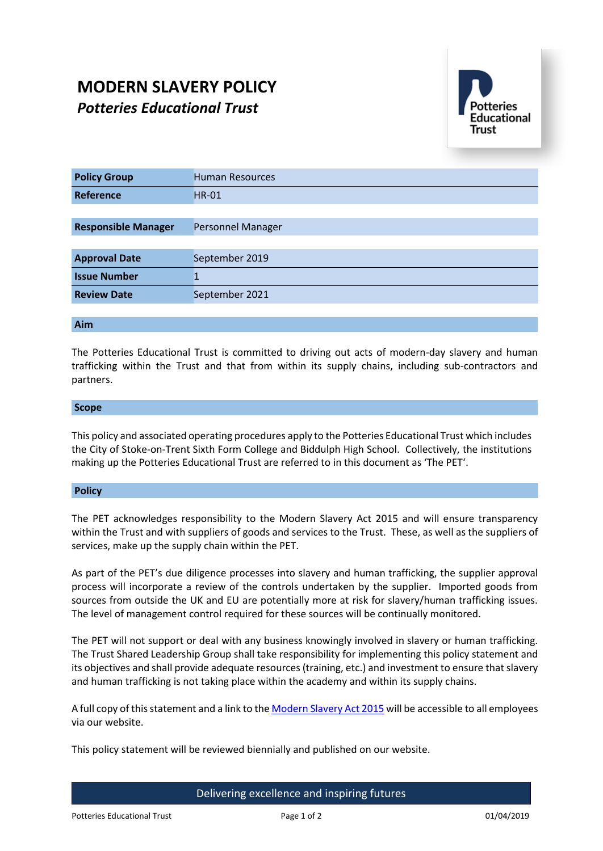# **MODERN SLAVERY POLICY** *Potteries Educational Trust*



| <b>Policy Group</b>        | <b>Human Resources</b> |
|----------------------------|------------------------|
| Reference                  | <b>HR-01</b>           |
|                            |                        |
| <b>Responsible Manager</b> | Personnel Manager      |
|                            |                        |
| <b>Approval Date</b>       | September 2019         |
| <b>Issue Number</b>        |                        |
| <b>Review Date</b>         | September 2021         |
|                            |                        |

# **Aim**

The Potteries Educational Trust is committed to driving out acts of modern-day slavery and human trafficking within the Trust and that from within its supply chains, including sub-contractors and partners.

# **Scope**

This policy and associated operating procedures apply to the Potteries Educational Trust which includes the City of Stoke-on-Trent Sixth Form College and Biddulph High School. Collectively, the institutions making up the Potteries Educational Trust are referred to in this document as 'The PET'.

# **Policy**

The PET acknowledges responsibility to the Modern Slavery Act 2015 and will ensure transparency within the Trust and with suppliers of goods and services to the Trust. These, as well as the suppliers of services, make up the supply chain within the PET.

As part of the PET's due diligence processes into slavery and human trafficking, the supplier approval process will incorporate a review of the controls undertaken by the supplier. Imported goods from sources from outside the UK and EU are potentially more at risk for slavery/human trafficking issues. The level of management control required for these sources will be continually monitored.

The PET will not support or deal with any business knowingly involved in slavery or human trafficking. The Trust Shared Leadership Group shall take responsibility for implementing this policy statement and its objectives and shall provide adequate resources (training, etc.) and investment to ensure that slavery and human trafficking is not taking place within the academy and within its supply chains.

A full copy of this statement and a link to th[e Modern Slavery Act 2015](http://www.legislation.gov.uk/ukpga/2015/30/contents/enacted) will be accessible to all employees via our website.

This policy statement will be reviewed biennially and published on our website.

Delivering excellence and inspiring futures